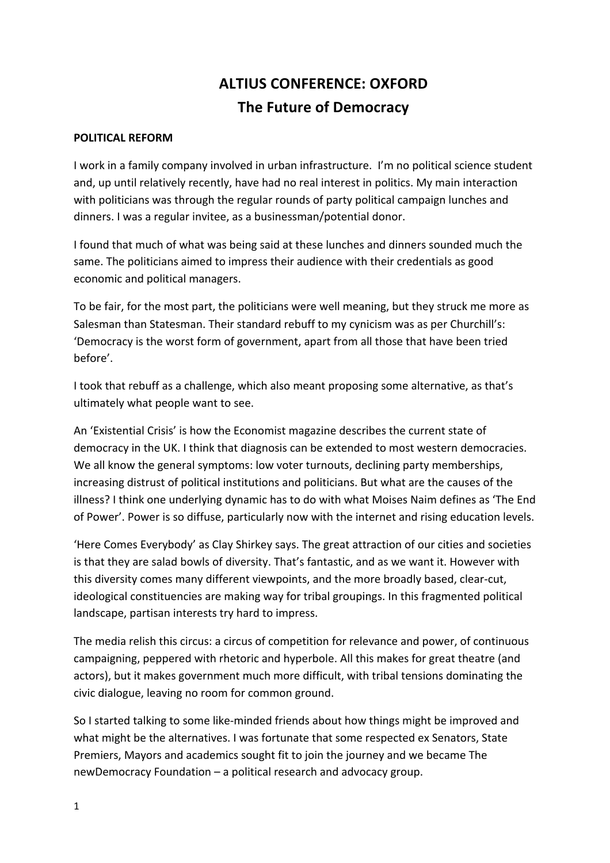# **ALTIUS CONFERENCE: OXFORD The Future of Democracy**

#### **POLITICAL REFORM**

I work in a family company involved in urban infrastructure. I'm no political science student and, up until relatively recently, have had no real interest in politics. My main interaction with politicians was through the regular rounds of party political campaign lunches and dinners. I was a regular invitee, as a businessman/potential donor.

I found that much of what was being said at these lunches and dinners sounded much the same. The politicians aimed to impress their audience with their credentials as good economic and political managers.

To be fair, for the most part, the politicians were well meaning, but they struck me more as Salesman than Statesman. Their standard rebuff to my cynicism was as per Churchill's: 'Democracy is the worst form of government, apart from all those that have been tried before'. 

I took that rebuff as a challenge, which also meant proposing some alternative, as that's ultimately what people want to see.

An 'Existential Crisis' is how the Economist magazine describes the current state of democracy in the UK. I think that diagnosis can be extended to most western democracies. We all know the general symptoms: low voter turnouts, declining party memberships, increasing distrust of political institutions and politicians. But what are the causes of the illness? I think one underlying dynamic has to do with what Moises Naim defines as 'The End of Power'. Power is so diffuse, particularly now with the internet and rising education levels.

'Here Comes Everybody' as Clay Shirkey says. The great attraction of our cities and societies is that they are salad bowls of diversity. That's fantastic, and as we want it. However with this diversity comes many different viewpoints, and the more broadly based, clear-cut, ideological constituencies are making way for tribal groupings. In this fragmented political landscape, partisan interests try hard to impress.

The media relish this circus: a circus of competition for relevance and power, of continuous campaigning, peppered with rhetoric and hyperbole. All this makes for great theatre (and actors), but it makes government much more difficult, with tribal tensions dominating the civic dialogue, leaving no room for common ground.

So I started talking to some like-minded friends about how things might be improved and what might be the alternatives. I was fortunate that some respected ex Senators, State Premiers, Mayors and academics sought fit to join the journey and we became The newDemocracy Foundation – a political research and advocacy group.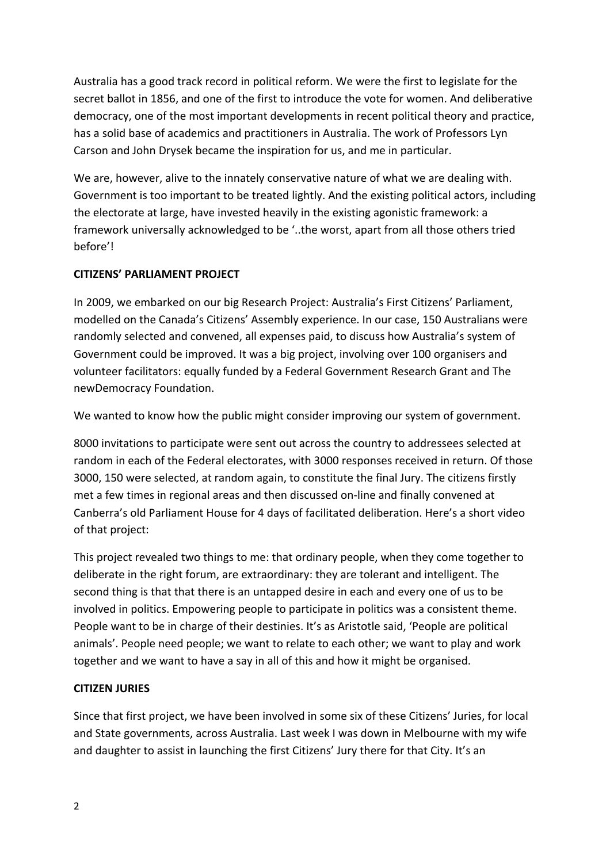Australia has a good track record in political reform. We were the first to legislate for the secret ballot in 1856, and one of the first to introduce the vote for women. And deliberative democracy, one of the most important developments in recent political theory and practice, has a solid base of academics and practitioners in Australia. The work of Professors Lyn Carson and John Drysek became the inspiration for us, and me in particular.

We are, however, alive to the innately conservative nature of what we are dealing with. Government is too important to be treated lightly. And the existing political actors, including the electorate at large, have invested heavily in the existing agonistic framework: a framework universally acknowledged to be '..the worst, apart from all those others tried before'! 

### **CITIZENS' PARLIAMENT PROJECT**

In 2009, we embarked on our big Research Project: Australia's First Citizens' Parliament, modelled on the Canada's Citizens' Assembly experience. In our case, 150 Australians were randomly selected and convened, all expenses paid, to discuss how Australia's system of Government could be improved. It was a big project, involving over 100 organisers and volunteer facilitators: equally funded by a Federal Government Research Grant and The newDemocracy Foundation. 

We wanted to know how the public might consider improving our system of government.

8000 invitations to participate were sent out across the country to addressees selected at random in each of the Federal electorates, with 3000 responses received in return. Of those 3000, 150 were selected, at random again, to constitute the final Jury. The citizens firstly met a few times in regional areas and then discussed on-line and finally convened at Canberra's old Parliament House for 4 days of facilitated deliberation. Here's a short video of that project:

This project revealed two things to me: that ordinary people, when they come together to deliberate in the right forum, are extraordinary: they are tolerant and intelligent. The second thing is that that there is an untapped desire in each and every one of us to be involved in politics. Empowering people to participate in politics was a consistent theme. People want to be in charge of their destinies. It's as Aristotle said, 'People are political animals'. People need people; we want to relate to each other; we want to play and work together and we want to have a say in all of this and how it might be organised.

#### **CITIZEN JURIES**

Since that first project, we have been involved in some six of these Citizens' Juries, for local and State governments, across Australia. Last week I was down in Melbourne with my wife and daughter to assist in launching the first Citizens' Jury there for that City. It's an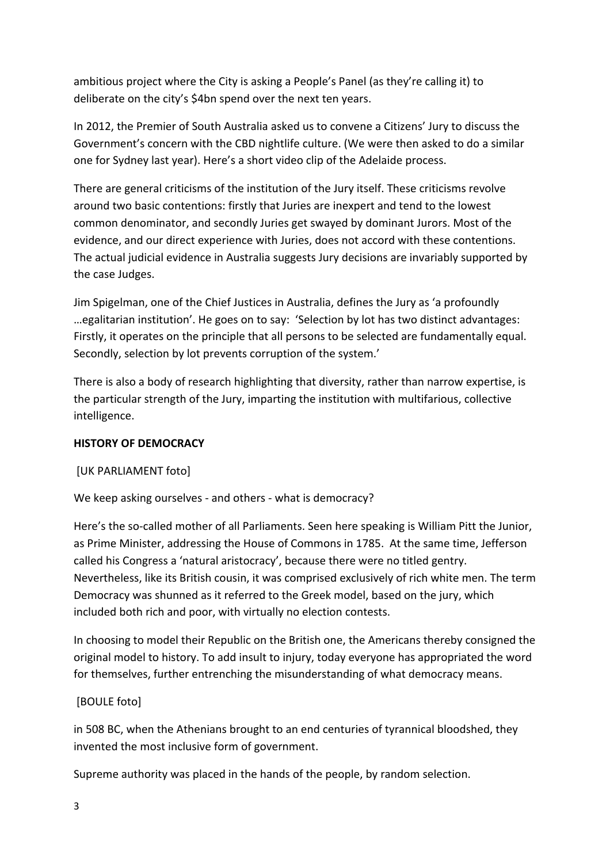ambitious project where the City is asking a People's Panel (as they're calling it) to deliberate on the city's \$4bn spend over the next ten years.

In 2012, the Premier of South Australia asked us to convene a Citizens' Jury to discuss the Government's concern with the CBD nightlife culture. (We were then asked to do a similar one for Sydney last year). Here's a short video clip of the Adelaide process.

There are general criticisms of the institution of the Jury itself. These criticisms revolve around two basic contentions: firstly that Juries are inexpert and tend to the lowest common denominator, and secondly Juries get swayed by dominant Jurors. Most of the evidence, and our direct experience with Juries, does not accord with these contentions. The actual judicial evidence in Australia suggests Jury decisions are invariably supported by the case Judges.

Jim Spigelman, one of the Chief Justices in Australia, defines the Jury as 'a profoundly ... egalitarian institution'. He goes on to say: 'Selection by lot has two distinct advantages: Firstly, it operates on the principle that all persons to be selected are fundamentally equal. Secondly, selection by lot prevents corruption of the system.'

There is also a body of research highlighting that diversity, rather than narrow expertise, is the particular strength of the Jury, imparting the institution with multifarious, collective intelligence.

## **HISTORY OF DEMOCRACY**

[UK PARLIAMENT foto]

We keep asking ourselves - and others - what is democracy?

Here's the so-called mother of all Parliaments. Seen here speaking is William Pitt the Junior, as Prime Minister, addressing the House of Commons in 1785. At the same time, Jefferson called his Congress a 'natural aristocracy', because there were no titled gentry. Nevertheless, like its British cousin, it was comprised exclusively of rich white men. The term Democracy was shunned as it referred to the Greek model, based on the jury, which included both rich and poor, with virtually no election contests.

In choosing to model their Republic on the British one, the Americans thereby consigned the original model to history. To add insult to injury, today everyone has appropriated the word for themselves, further entrenching the misunderstanding of what democracy means.

## [BOULE foto]

in 508 BC, when the Athenians brought to an end centuries of tyrannical bloodshed, they invented the most inclusive form of government.

Supreme authority was placed in the hands of the people, by random selection.